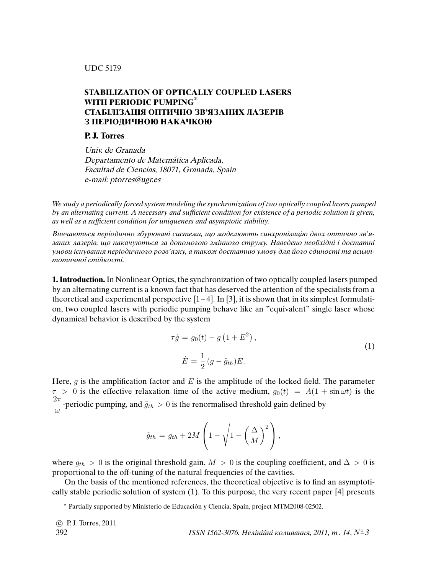### UDC 517.9

# **STABILIZATION OF OPTICALLY COUPLED LASERS WITH PERIODIC PUMPING\* СТАБIЛIЗАЦIЯ ОПТИЧНО ЗВ'ЯЗАНИХ ЛАЗЕРIВ З ПЕРIОДИЧНОЮ НАКАЧКОЮ**

## **P. J. Torres**

Univ. de Granada Departamento de Matemática Aplicada, Facultad de Ciencias, 18071, Granada, Spain e-mail: ptorres@ugr.es

We study a periodically forced system modeling the synchronization of two optically coupled lasers pumped by an alternating current. A necessary and suf*fi*cient condition for existence of a periodic solution is given, as well as a suf*fi*cient condition for uniqueness and asymptotic stability.

Вивчаються перiодично збурюванi системи, що моделюють синхронiзацiю двох оптично зв'язаних лазерiв, що накачуються за допомогою змiнного струму. Наведено необхiднi i достатнi умови iснування перiодичного розв'язку, а також достатню умову для його єдиностi та асимптотичної стiйкостi.

**1. Introduction.**In Nonlinear Optics, the synchronization of two optically coupled lasers pumped by an alternating current is a known fact that has deserved the attention of the specialists from a theoretical and experimental perspective  $[1-4]$ . In [3], it is shown that in its simplest formulation, two coupled lasers with periodic pumping behave like an "equivalent" single laser whose dynamical behavior is described by the system

$$
\tau \dot{g} = g_0(t) - g \left( 1 + E^2 \right),
$$
  
\n
$$
\dot{E} = \frac{1}{2} (g - \tilde{g}_{th}) E.
$$
\n(1)

Here,  $g$  is the amplification factor and  $E$  is the amplitude of the locked field. The parameter  $\tau > 0$  is the effective relaxation time of the active medium,  $g_0(t) = A(1 + \sin \omega t)$  is the  $2\pi$  $\frac{dS}{d\omega}$ -periodic pumping, and  $\tilde{g}_{th} > 0$  is the renormalised threshold gain defined by

$$
\tilde{g}_{th} = g_{th} + 2M\left(1 - \sqrt{1 - \left(\frac{\Delta}{M}\right)^2}\right),
$$

where  $g_{th} > 0$  is the original threshold gain,  $M > 0$  is the coupling coefficient, and  $\Delta > 0$  is proportional to the off-tuning of the natural frequencies of the cavities.

On the basis of the mentioned references, the theoretical objective is to find an asymptotically stable periodic solution of system (1). To this purpose, the very recent paper [4] presents

<sup>∗</sup> Partially supported by Ministerio de Educacion y Ciencia, Spain, project MTM2008-02502. ´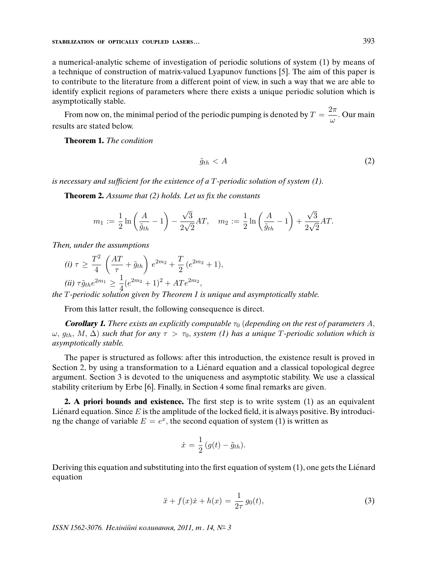a numerical-analytic scheme of investigation of periodic solutions of system (1) by means of a technique of construction of matrix-valued Lyapunov functions [5]. The aim of this paper is to contribute to the literature from a different point of view, in such a way that we are able to identify explicit regions of parameters where there exists a unique periodic solution which is asymptotically stable.

From now on, the minimal period of the periodic pumping is denoted by  $T = \frac{2\pi}{\sqrt{2\pi}}$  $\frac{1}{\omega}$ . Our main results are stated below.

**Theorem 1.** The condition

$$
\tilde{g}_{th} < A \tag{2}
$$

is necessary and suf*fi*cient for the existence of a T-periodic solution of system (1).

**Theorem 2.** Assume that (2) holds. Let us *fi*x the constants

$$
m_1 := \frac{1}{2} \ln \left( \frac{A}{\tilde{g}_{th}} - 1 \right) - \frac{\sqrt{3}}{2\sqrt{2}} AT, \quad m_2 := \frac{1}{2} \ln \left( \frac{A}{\tilde{g}_{th}} - 1 \right) + \frac{\sqrt{3}}{2\sqrt{2}} AT.
$$

Then, under the assumptions

(i) 
$$
\tau \ge \frac{T^2}{4} \left( \frac{AT}{\tau} + \tilde{g}_{th} \right) e^{2m_2} + \frac{T}{2} (e^{2m_2} + 1),
$$
  
\n(ii)  $\tau \tilde{g}_{th} e^{2m_1} \ge \frac{1}{4} (e^{2m_2} + 1)^2 + AT e^{2m_2},$ 

the T-periodic solution given by Theorem 1 is unique and asymptotically stable.

From this latter result, the following consequence is direct.

**Corollary 1.** There exists an explicitly computable  $\tau_0$  (depending on the rest of parameters A,  $ω, g_{th}, M, Δ$ ) such that for any  $τ > τ_0$ , system (1) has a unique T-periodic solution which is asymptotically stable.

The paper is structured as follows: after this introduction, the existence result is proved in Section 2, by using a transformation to a Liénard equation and a classical topological degree argument. Section 3 is devoted to the uniqueness and asymptotic stability. We use a classical stability criterium by Erbe [6]. Finally, in Section 4 some final remarks are given.

**2. A priori bounds and existence.** The first step is to write system (1) as an equivalent Lienard equation. Since  $E$  is the amplitude of the locked field, it is always positive. By introducing the change of variable  $E = e^x$ , the second equation of system (1) is written as

$$
\dot{x} = \frac{1}{2} (g(t) - \tilde{g}_{th}).
$$

Deriving this equation and substituting into the first equation of system (1), one gets the Lienard ´ equation

$$
\ddot{x} + f(x)\dot{x} + h(x) = \frac{1}{2\tau}g_0(t),
$$
\n(3)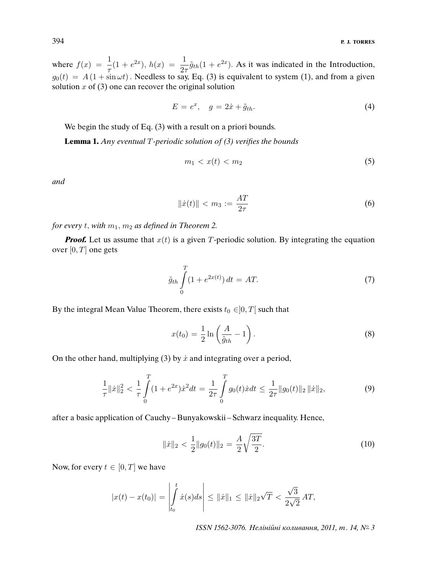where  $f(x) = \frac{1}{\tau}(1 + e^{2x}), h(x) = \frac{1}{2\tau}\tilde{g}_{th}(1 + e^{2x}).$  As it was indicated in the Introduction,  $g_0(t) = A(1 + \sin \omega t)$  . Needless to say, Eq. (3) is equivalent to system (1), and from a given solution  $x$  of  $(3)$  one can recover the original solution

$$
E = e^x, \quad g = 2\dot{x} + \tilde{g}_{th}.
$$
\n<sup>(4)</sup>

We begin the study of Eq. (3) with a result on a priori bounds.

**Lemma 1.** Any eventual T-periodic solution of (3) veri*fi*es the bounds

$$
m_1 < x(t) < m_2 \tag{5}
$$

and

$$
\|\dot{x}(t)\| < m_3 := \frac{AT}{2\tau} \tag{6}
$$

for every t, with  $m_1$ ,  $m_2$  as defined in Theorem 2.

**Proof.** Let us assume that  $x(t)$  is a given T-periodic solution. By integrating the equation over  $[0, T]$  one gets

$$
\tilde{g}_{th} \int\limits_{0}^{T} (1 + e^{2x(t)}) dt = AT.
$$
\n(7)

By the integral Mean Value Theorem, there exists  $t_0 \in ]0, T[$  such that

$$
x(t_0) = \frac{1}{2} \ln \left( \frac{A}{\tilde{g}_{th}} - 1 \right).
$$
 (8)

On the other hand, multiplying (3) by  $\dot{x}$  and integrating over a period,

$$
\frac{1}{\tau} \|\dot{x}\|_2^2 < \frac{1}{\tau} \int_0^T (1 + e^{2x}) \dot{x}^2 dt = \frac{1}{2\tau} \int_0^T g_0(t) \dot{x} dt \le \frac{1}{2\tau} \|g_0(t)\|_2 \, \|\dot{x}\|_2,\tag{9}
$$

after a basic application of Cauchy – Bunyakowskii – Schwarz inequality. Hence,

$$
\|\dot{x}\|_2 < \frac{1}{2} \|g_0(t)\|_2 = \frac{A}{2} \sqrt{\frac{3T}{2}}.\tag{10}
$$

Now, for every  $t \in [0, T]$  we have

$$
|x(t) - x(t_0)| = \left| \int_{t_0}^t \dot{x}(s) ds \right| \le ||\dot{x}||_1 \le ||\dot{x}||_2 \sqrt{T} < \frac{\sqrt{3}}{2\sqrt{2}} \, AT,
$$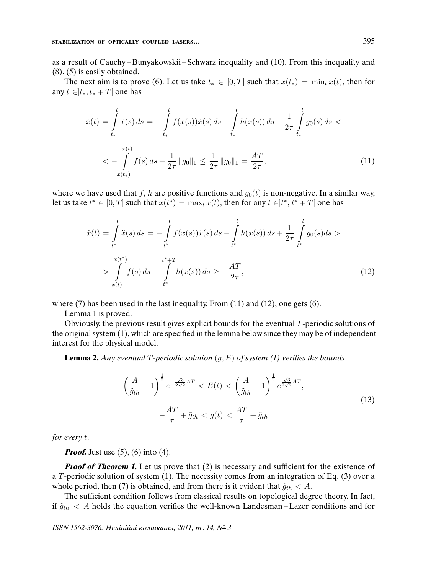#### **STABILIZATION OF OPTICALLY COUPLED LASERS...** 395

as a result of Cauchy – Bunyakowskii – Schwarz inequality and (10). From this inequality and (8), (5) is easily obtained.

The next aim is to prove (6). Let us take  $t_* \in [0, T]$  such that  $x(t_*) = \min_t x(t)$ , then for any  $t \in ]t_*, t_* + T[$  one has

$$
\dot{x}(t) = \int_{t_*}^{t} \ddot{x}(s) ds = -\int_{t_*}^{t} f(x(s))\dot{x}(s) ds - \int_{t_*}^{t} h(x(s)) ds + \frac{1}{2\tau} \int_{t_*}^{t} g_0(s) ds \n
$$
< -\int_{x(t_*)}^{x(t)} f(s) ds + \frac{1}{2\tau} ||g_0||_1 \le \frac{1}{2\tau} ||g_0||_1 = \frac{AT}{2\tau},
$$
\n(11)
$$

where we have used that f, h are positive functions and  $g_0(t)$  is non-negative. In a similar way, let us take  $t^* \in [0, T]$  such that  $x(t^*) = \max_t x(t)$ , then for any  $t \in ]t^*, t^* + T[$  one has

$$
\dot{x}(t) = \int_{t^*}^t \ddot{x}(s) ds = -\int_{t^*}^t f(x(s))\dot{x}(s) ds - \int_{t^*}^t h(x(s)) ds + \frac{1}{2\tau} \int_{t^*}^t g_0(s) ds >
$$
\n
$$
> \int_{x(t)}^{x(t^*)} f(s) ds - \int_{t^*}^{t^*+T} h(x(s)) ds \ge -\frac{AT}{2\tau},
$$
\n(12)

where (7) has been used in the last inequality. From (11) and (12), one gets (6).

Lemma 1 is proved.

Obviously, the previous result gives explicit bounds for the eventual  $T$ -periodic solutions of the original system (1), which are specified in the lemma below since they may be of independent interest for the physical model.

**Lemma 2.** Any eventual T-periodic solution  $(g, E)$  of system (1) verifies the bounds

$$
\left(\frac{A}{\tilde{g}_{th}}-1\right)^{\frac{1}{2}}e^{-\frac{\sqrt{3}}{2\sqrt{2}}AT} < E(t) < \left(\frac{A}{\tilde{g}_{th}}-1\right)^{\frac{1}{2}}e^{\frac{\sqrt{3}}{2\sqrt{2}}AT},\\
-\frac{AT}{\tau} + \tilde{g}_{th} < g(t) < \frac{AT}{\tau} + \tilde{g}_{th} \tag{13}
$$

for every t.

*Proof.* Just use (5), (6) into (4).

**Proof of Theorem 1.** Let us prove that (2) is necessary and sufficient for the existence of a T-periodic solution of system  $(1)$ . The necessity comes from an integration of Eq.  $(3)$  over a whole period, then (7) is obtained, and from there is it evident that  $\tilde{g}_{th} < A$ .

The sufficient condition follows from classical results on topological degree theory. In fact, if  $\tilde{g}_{th} < A$  holds the equation verifies the well-known Landesman–Lazer conditions and for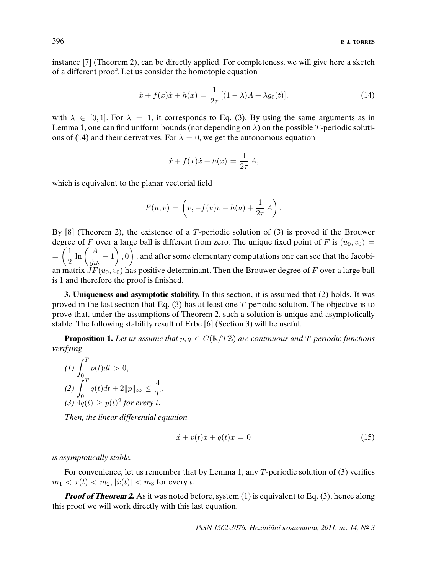instance [7] (Theorem 2), can be directly applied. For completeness, we will give here a sketch of a different proof. Let us consider the homotopic equation

$$
\ddot{x} + f(x)\dot{x} + h(x) = \frac{1}{2\tau} [(1 - \lambda)A + \lambda g_0(t)],
$$
\n(14)

with  $\lambda \in [0, 1]$ . For  $\lambda = 1$ , it corresponds to Eq. (3). By using the same arguments as in Lemma 1, one can find uniform bounds (not depending on  $\lambda$ ) on the possible T-periodic solutions of (14) and their derivatives. For  $\lambda = 0$ , we get the autonomous equation

$$
\ddot{x} + f(x)\dot{x} + h(x) = \frac{1}{2\tau}A,
$$

which is equivalent to the planar vectorial field

$$
F(u, v) = \left(v, -f(u)v - h(u) + \frac{1}{2\tau} A\right).
$$

By  $[8]$  (Theorem 2), the existence of a T-periodic solution of  $(3)$  is proved if the Brouwer degree of F over a large ball is different from zero. The unique fixed point of F is  $(u_0, v_0)$  =  $=\left(\frac{1}{2}\right)$  $\frac{1}{2} \ln \left( \frac{A}{\tilde{g}_{tl}} \right)$  $\left(\frac{A}{\tilde{g}_{th}}-1\right),0\bigg)$  , and after some elementary computations one can see that the Jacobian matrix  $\mathcal{F}(\mathbf{u}_0, \mathbf{v}_0)$  has positive determinant. Then the Brouwer degree of F over a large ball is 1 and therefore the proof is finished.

**3. Uniqueness and asymptotic stability.** In this section, it is assumed that (2) holds. It was proved in the last section that Eq.  $(3)$  has at least one T-periodic solution. The objective is to prove that, under the assumptions of Theorem 2, such a solution is unique and asymptotically stable. The following stability result of Erbe [6] (Section 3) will be useful.

**Proposition 1.** Let us assume that  $p, q \in C(\mathbb{R}/T\mathbb{Z})$  are continuous and T-periodic functions verifying

$$
(1) \int_0^T p(t)dt > 0,
$$
  
\n
$$
(2) \int_0^T q(t)dt + 2||p||_{\infty} \le \frac{4}{T},
$$
  
\n
$$
(3) 4q(t) \ge p(t)^2 \text{ for every } t.
$$

Then, the linear differential equation

$$
\ddot{x} + p(t)\dot{x} + q(t)x = 0\tag{15}
$$

#### is asymptotically stable.

For convenience, let us remember that by Lemma 1, any T-periodic solution of (3) verifies  $m_1 < x(t) < m_2$ ,  $|\dot{x}(t)| < m_3$  for every t.

**Proof of Theorem 2.** As it was noted before, system (1) is equivalent to Eq. (3), hence along this proof we will work directly with this last equation.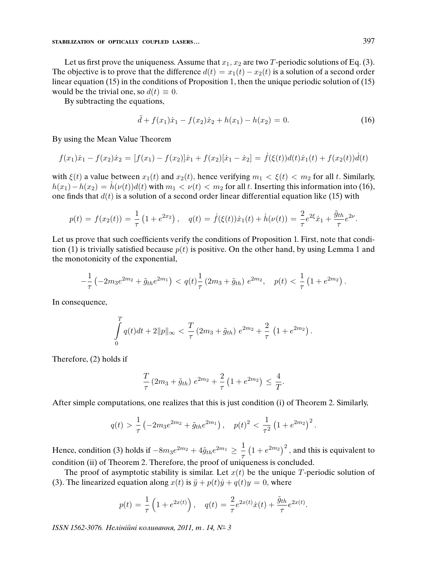Let us first prove the uniqueness. Assume that  $x_1, x_2$  are two T-periodic solutions of Eq. (3). The objective is to prove that the difference  $d(t) = x_1(t) - x_2(t)$  is a solution of a second order linear equation (15) in the conditions of Proposition 1, then the unique periodic solution of (15) would be the trivial one, so  $d(t) \equiv 0$ .

By subtracting the equations,

$$
\ddot{d} + f(x_1)\dot{x}_1 - f(x_2)\dot{x}_2 + h(x_1) - h(x_2) = 0.
$$
 (16)

By using the Mean Value Theorem

$$
f(x_1)\dot{x}_1 - f(x_2)\dot{x}_2 = [f(x_1) - f(x_2)]\dot{x}_1 + f(x_2)[\dot{x}_1 - \dot{x}_2] = \dot{f}(\xi(t))d(t)\dot{x}_1(t) + f(x_2(t))\dot{d}(t)
$$

with  $\xi(t)$  a value between  $x_1(t)$  and  $x_2(t)$ , hence verifying  $m_1 < \xi(t) < m_2$  for all t. Similarly,  $h(x_1) - h(x_2) = h(v(t))d(t)$  with  $m_1 < v(t) < m_2$  for all t. Inserting this information into (16), one finds that  $d(t)$  is a solution of a second order linear differential equation like (15) with

$$
p(t) = f(x_2(t)) = \frac{1}{\tau} \left( 1 + e^{2x_2} \right), \quad q(t) = \dot{f}(\xi(t))\dot{x}_1(t) + \dot{h}(\nu(t)) = \frac{2}{\tau} e^{2\xi} \dot{x}_1 + \frac{\tilde{g}_{th}}{\tau} e^{2\nu}.
$$

Let us prove that such coefficients verify the conditions of Proposition 1. First, note that condition (1) is trivially satisfied because  $p(t)$  is positive. On the other hand, by using Lemma 1 and the monotonicity of the exponential,

$$
-\frac{1}{\tau}\left(-2m_3e^{2m_2}+\tilde{g}_{th}e^{2m_1}\right) < q(t)\frac{1}{\tau}\left(2m_3+\tilde{g}_{th}\right)e^{2m_2}, \quad p(t) < \frac{1}{\tau}\left(1+e^{2m_2}\right).
$$

In consequence,

$$
\int_{0}^{T} q(t)dt + 2||p||_{\infty} < \frac{T}{\tau} (2m_3 + \tilde{g}_{th}) e^{2m_2} + \frac{2}{\tau} (1 + e^{2m_2}).
$$

Therefore, (2) holds if

$$
\frac{T}{\tau} (2m_3 + \tilde{g}_{th}) e^{2m_2} + \frac{2}{\tau} (1 + e^{2m_2}) \le \frac{4}{T}.
$$

After simple computations, one realizes that this is just condition (i) of Theorem 2. Similarly,

$$
q(t) > \frac{1}{\tau} \left(-2m_3 e^{2m_2} + \tilde{g}_{th} e^{2m_1}\right), \quad p(t)^2 < \frac{1}{\tau^2} \left(1 + e^{2m_2}\right)^2.
$$

Hence, condition (3) holds if  $-8m_3e^{2m_2} + 4\tilde{g}_{th}e^{2m_1} \geq \frac{1}{2}$ τ  $(1 + e^{2m_2})^2$ , and this is equivalent to condition (ii) of Theorem 2. Therefore, the proof of uniqueness is concluded.

The proof of asymptotic stability is similar. Let  $x(t)$  be the unique T-periodic solution of (3). The linearized equation along  $x(t)$  is  $\ddot{y} + p(t)\dot{y} + q(t)y = 0$ , where

$$
p(t) = \frac{1}{\tau} \left( 1 + e^{2x(t)} \right), \quad q(t) = \frac{2}{\tau} e^{2x(t)} \dot{x}(t) + \frac{\tilde{g}_{th}}{\tau} e^{2x(t)}.
$$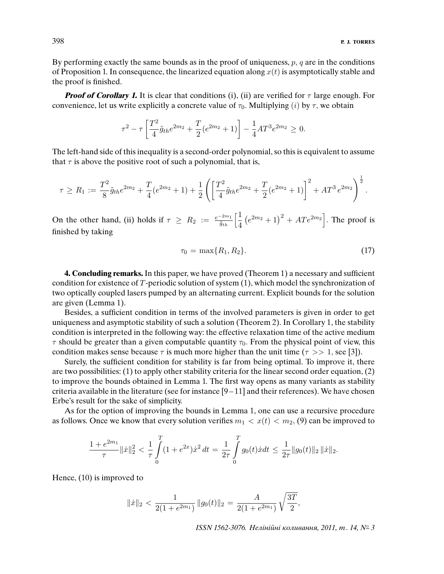By performing exactly the same bounds as in the proof of uniqueness,  $p$ ,  $q$  are in the conditions of Proposition 1. In consequence, the linearized equation along  $x(t)$  is asymptotically stable and the proof is finished.

**Proof of Corollary 1.** It is clear that conditions (i), (ii) are verified for  $\tau$  large enough. For convenience, let us write explicitly a concrete value of  $\tau_0$ . Multiplying (i) by  $\tau$ , we obtain

$$
\tau^{2} - \tau \left[ \frac{T^{2}}{4} \tilde{g}_{th} e^{2m_{2}} + \frac{T}{2} (e^{2m_{2}} + 1) \right] - \frac{1}{4} A T^{3} e^{2m_{2}} \ge 0.
$$

The left-hand side of this inequality is a second-order polynomial, so this is equivalent to assume that  $\tau$  is above the positive root of such a polynomial, that is,

$$
\tau \ge R_1 := \frac{T^2}{8} \tilde{g}_{th} e^{2m_2} + \frac{T}{4} (e^{2m_2} + 1) + \frac{1}{2} \left( \left[ \frac{T^2}{4} \tilde{g}_{th} e^{2m_2} + \frac{T}{2} (e^{2m_2} + 1) \right]^2 + AT^3 e^{2m_2} \right)^{\frac{1}{2}}.
$$

On the other hand, (ii) holds if  $\tau \geq R_2 := \frac{e^{-2m_1}}{\tilde{g}_{th}} \left[ \frac{1}{4} \right]$ 4  $(e^{2m_2}+1)^2 + ATe^{2m_2}$ . The proof is finished by taking

$$
\tau_0 = \max\{R_1, R_2\}.\tag{17}
$$

**4. Concluding remarks.** In this paper, we have proved (Theorem 1) a necessary and sufficient condition for existence of T-periodic solution of system (1), which model the synchronization of two optically coupled lasers pumped by an alternating current. Explicit bounds for the solution are given (Lemma 1).

Besides, a sufficient condition in terms of the involved parameters is given in order to get uniqueness and asymptotic stability of such a solution (Theorem 2). In Corollary 1, the stability condition is interpreted in the following way: the effective relaxation time of the active medium  $\tau$  should be greater than a given computable quantity  $\tau_0$ . From the physical point of view, this condition makes sense because  $\tau$  is much more higher than the unit time ( $\tau >> 1$ , see [3]).

Surely, the sufficient condition for stability is far from being optimal. To improve it, there are two possibilities: (1) to apply other stability criteria for the linear second order equation, (2) to improve the bounds obtained in Lemma 1. The first way opens as many variants as stability criteria available in the literature (see for instance [9 – 11] and their references). We have chosen Erbe's result for the sake of simplicity.

As for the option of improving the bounds in Lemma 1, one can use a recursive procedure as follows. Once we know that every solution verifies  $m_1 < x(t) < m_2$ , (9) can be improved to

$$
\frac{1+e^{2m_1}}{\tau}\|\dot{x}\|_2^2 < \frac{1}{\tau}\int\limits_0^T (1+e^{2x})\dot{x}^2 dt = \frac{1}{2\tau}\int\limits_0^T g_0(t)\dot{x}dt \leq \frac{1}{2\tau}\|g_0(t)\|_2\,\|\dot{x}\|_2.
$$

Hence, (10) is improved to

$$
\|\dot{x}\|_2 < \frac{1}{2(1 + e^{2m_1})} \|g_0(t)\|_2 = \frac{A}{2(1 + e^{2m_1})} \sqrt{\frac{3T}{2}},
$$